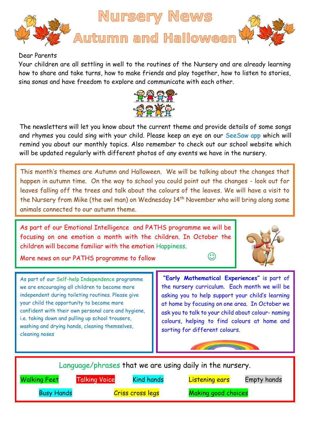

## Dear Parents

Your children are all settling in well to the routines of the Nursery and are already learning how to share and take turns, how to make friends and play together, how to listen to stories, sing songs and have freedom to explore and communicate with each other.



The newsletters will let you know about the current theme and provide details of some songs and rhymes you could sing with your child. Please keep an eye on our SeeSaw app which will remind you about our monthly topics. Also remember to check out our school website which will be updated regularly with different photos of any events we have in the nursery.

This month's themes are Autumn and Halloween. We will be talking about the changes that happen in autumn time. On the way to school you could point out the changes - look out for leaves falling off the trees and talk about the colours of the leaves. We will have a visit to the Nursery from Mike (the owl man) on Wednesday 14<sup>th</sup> November who will bring along some animals connected to our autumn theme.

As part of our Emotional Intelligence and PATHS programme we will be focusing on one emotion a month with the children. In October the children will become familiar with the emotion Happiness.



More news on our PATHS programme to follow  $\circledcirc$ 

As part of our Self-help Independence programme we are encouraging all children to become more independent during toileting routines. Please give your child the opportunity to become more confident with their own personal care and hygiene, i.e. taking down and pulling up school trousers, washing and drying hands, cleaning themselves, cleaning noses

**"Early Mathematical Experiences"** is part of the nursery curriculum. Each month we will be asking you to help support your child's learning at home by focusing on one area. In October we ask you to talk to your child about colour- naming colours, helping to find colours at home and sorting for different colours.

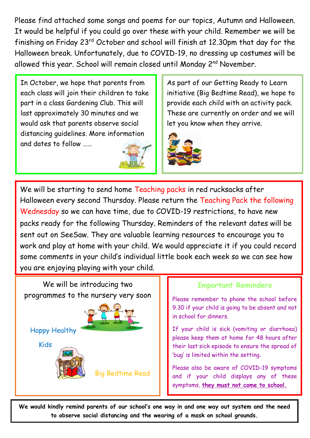Please find attached some songs and poems for our topics, Autumn and Halloween. It would be helpful if you could go over these with your child. Remember we will be finishing on Friday 23<sup>rd</sup> October and school will finish at 12.30pm that day for the Halloween break. Unfortunately, due to COVID-19, no dressing up costumes will be allowed this year. School will remain closed until Monday 2<sup>nd</sup> November.

In October, we hope that parents from each class will join their children to take part in a class Gardening Club. This will last approximately 30 minutes and we would ask that parents observe social distancing guidelines. More information and dates to follow ……



As part of our Getting Ready to Learn initiative (Big Bedtime Read), we hope to provide each child with an activity pack. These are currently on order and we will let you know when they arrive.



We will be starting to send home Teaching packs in red rucksacks after Halloween every second Thursday. Please return the Teaching Pack the following Wednesday so we can have time, due to COVID-19 restrictions, to have new packs ready for the following Thursday. Reminders of the relevant dates will be sent out on SeeSaw. They are valuable learning resources to encourage you to work and play at home with your child. We would appreciate it if you could record some comments in your child's individual little book each week so we can see how you are enjoying playing with your child.



## **Important Reminders**

Please remember to phone the school before 9.30 if your child is going to be absent and not in school for dinners.

If your child is sick (vomiting or diarrhoea) please keep them at home for 48 hours after their last sick episode to ensure the spread of 'bug' is limited within the setting.

Please also be aware of COVID-19 symptoms and if your child displays any of these symptoms, **they must not come to school.**

to observe social distancing and the wearing of a mask on school grounds. **We would kindly remind parents of our school's one way in and one way out system and the need**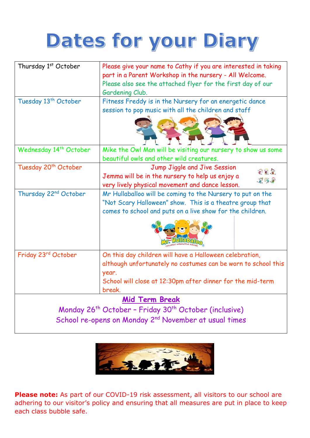## Dates for your Diary

| Thursday 1st October                                                          | Please give your name to Cathy if you are interested in taking<br>part in a Parent Workshop in the nursery - All Welcome.<br>Please also see the attached flyer for the first day of our<br>Gardening Club. |
|-------------------------------------------------------------------------------|-------------------------------------------------------------------------------------------------------------------------------------------------------------------------------------------------------------|
| Tuesday 13 <sup>th</sup> October                                              | Fitness Freddy is in the Nursery for an energetic dance<br>session to pop music with all the children and staff                                                                                             |
| Wednesday 14 <sup>th</sup> October                                            | Mike the Owl Man will be visiting our nursery to show us some<br>beautiful owls and other wild creatures.                                                                                                   |
| Tuesday 20 <sup>th</sup> October                                              | Jump Jiggle and Jive Session<br>282<br>Jemma will be in the nursery to help us enjoy a<br>88.8<br>very lively physical movement and dance lesson.                                                           |
| Thursday 22 <sup>nd</sup> October                                             | Mr Hullaballoo will be coming to the Nursery to put on the<br>"Not Scary Halloween" show. This is a theatre group that<br>comes to school and puts on a live show for the children.                         |
| Friday 23rd October                                                           | On this day children will have a Halloween celebration,<br>although unfortunately no costumes can be worn to school this<br>year.<br>School will close at 12:30pm after dinner for the mid-term<br>break.   |
| <b>Mid Term Break</b>                                                         |                                                                                                                                                                                                             |
| Monday 26 <sup>th</sup> October - Friday 30 <sup>th</sup> October (inclusive) |                                                                                                                                                                                                             |
| School re-opens on Monday 2 <sup>nd</sup> November at usual times             |                                                                                                                                                                                                             |



**Please note:** As part of our COVID-19 risk assessment, all visitors to our school are adhering to our visitor's policy and ensuring that all measures are put in place to keep each class bubble safe.